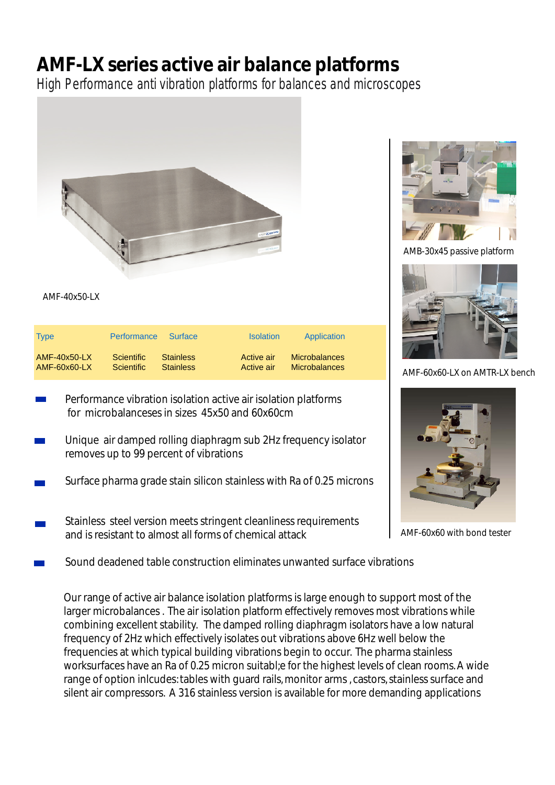## **AMF-LX series active air balance platforms**

High Performance anti vibration platforms for balances and microscopes



AMF-40x50-LX

| <b>Type</b>    | <b>Performance</b> | Surface          | <b>Isolation</b> | Application          |
|----------------|--------------------|------------------|------------------|----------------------|
| $AMF-40x50-LX$ | <b>Scientific</b>  | <b>Stainless</b> | Active air       | <b>Microbalances</b> |
| $AMF-60x60-LX$ | <b>Scientific</b>  | <b>Stainless</b> | Active air       | <b>Microbalances</b> |

- Performance vibration isolation active air isolation platforms  $\mathcal{O}(\mathbb{R}^d)$ for microbalanceses in sizes 45x50 and 60x60cm
- Unique air damped rolling diaphragm sub 2Hz frequency isolator removes up to 99 percent of vibrations
- Surface pharma grade stain silicon stainless with Ra of 0.25 microns
- Stainless steel version meets stringent cleanliness requirements and is resistant to almost all forms of chemical attack
- Sound deadened table construction eliminates unwanted surface vibrations

Our range of active air balance isolation platforms is large enough to support most of the larger microbalances . The air isolation platform effectively removes most vibrations while combining excellent stability. The damped rolling diaphragm isolators have a low natural frequency of 2Hz which effectively isolates out vibrations above 6Hz well below the frequencies at which typical building vibrations begin to occur. The pharma stainless worksurfaces have an Ra of 0.25 micron suitabl;e for the highest levels of clean rooms.A wide range of option inlcudes: tables with guard rails, monitor arms, castors, stainless surface and silent air compressors. A 316 stainless version is available for more demanding applications



AMB-30x45 passive platform



AMF-60x60-LX on AMTR-LX bench



AMF-60x60 with bond tester